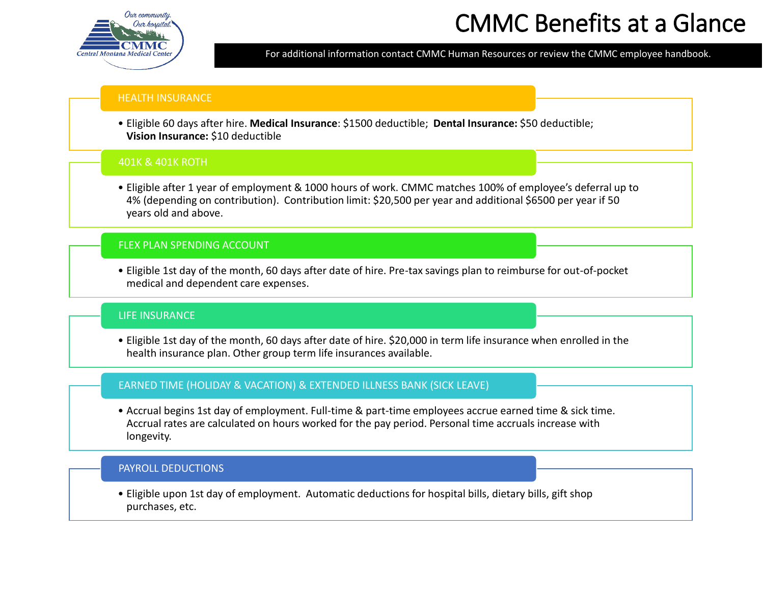

# CMMC Benefits at a Glance

For additional information contact CMMC Human Resources or review the CMMC employee handbook.

# HEALTH INSURANCE

• Eligible 60 days after hire. **Medical Insurance**: \$1500 deductible; **Dental Insurance:** \$50 deductible; **Vision Insurance:** \$10 deductible

# 401K & 401K ROTH

• Eligible after 1 year of employment & 1000 hours of work. CMMC matches 100% of employee's deferral up to 4% (depending on contribution). Contribution limit: \$20,500 per year and additional \$6500 per year if 50 years old and above.

# FLEX PLAN SPENDING ACCOUNT

• Eligible 1st day of the month, 60 days after date of hire. Pre-tax savings plan to reimburse for out-of-pocket medical and dependent care expenses.

# LIFE INSURANCE

• Eligible 1st day of the month, 60 days after date of hire. \$20,000 in term life insurance when enrolled in the health insurance plan. Other group term life insurances available.

# EARNED TIME (HOLIDAY & VACATION) & EXTENDED ILLNESS BANK (SICK LEAVE)

• Accrual begins 1st day of employment. Full-time & part-time employees accrue earned time & sick time. Accrual rates are calculated on hours worked for the pay period. Personal time accruals increase with longevity.

# PAYROLL DEDUCTIONS

• Eligible upon 1st day of employment. Automatic deductions for hospital bills, dietary bills, gift shop purchases, etc.